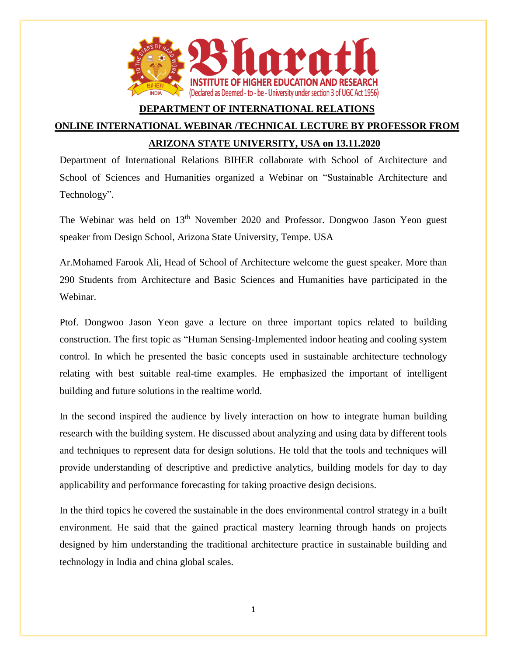

## **DEPARTMENT OF INTERNATIONAL RELATIONS**

## **ONLINE INTERNATIONAL WEBINAR /TECHNICAL LECTURE BY PROFESSOR FROM ARIZONA STATE UNIVERSITY, USA on 13.11.2020**

Department of International Relations BIHER collaborate with School of Architecture and School of Sciences and Humanities organized a Webinar on "Sustainable Architecture and Technology".

The Webinar was held on 13<sup>th</sup> November 2020 and Professor. Dongwoo Jason Yeon guest speaker from Design School, Arizona State University, Tempe. USA

Ar.Mohamed Farook Ali, Head of School of Architecture welcome the guest speaker. More than 290 Students from Architecture and Basic Sciences and Humanities have participated in the Webinar.

Ptof. Dongwoo Jason Yeon gave a lecture on three important topics related to building construction. The first topic as "Human Sensing-Implemented indoor heating and cooling system control. In which he presented the basic concepts used in sustainable architecture technology relating with best suitable real-time examples. He emphasized the important of intelligent building and future solutions in the realtime world.

In the second inspired the audience by lively interaction on how to integrate human building research with the building system. He discussed about analyzing and using data by different tools and techniques to represent data for design solutions. He told that the tools and techniques will provide understanding of descriptive and predictive analytics, building models for day to day applicability and performance forecasting for taking proactive design decisions.

In the third topics he covered the sustainable in the does environmental control strategy in a built environment. He said that the gained practical mastery learning through hands on projects designed by him understanding the traditional architecture practice in sustainable building and technology in India and china global scales.